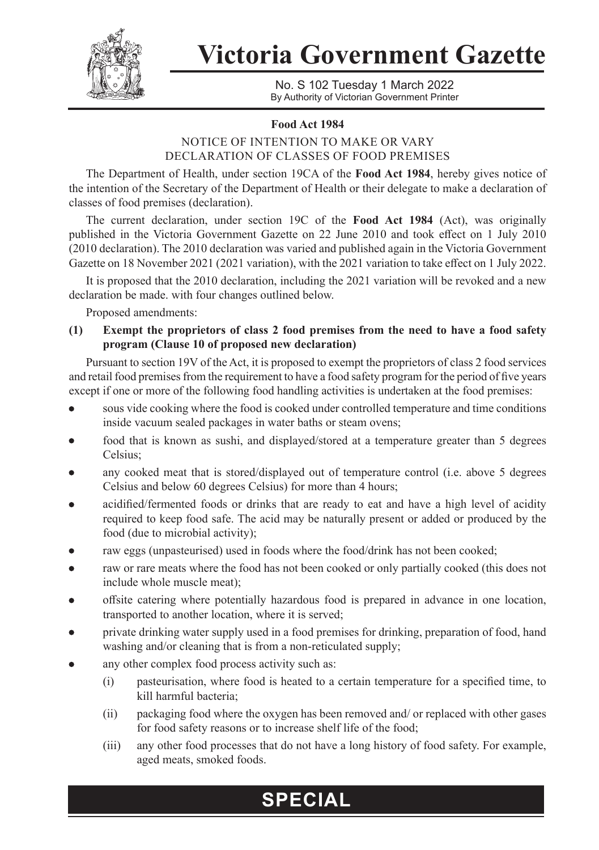

**Victoria Government Gazette**

No. S 102 Tuesday 1 March 2022 By Authority of Victorian Government Printer

#### **Food Act 1984**

#### NOTICE OF INTENTION TO MAKE OR VARY DECLARATION OF CLASSES OF FOOD PREMISES

The Department of Health, under section 19CA of the **Food Act 1984**, hereby gives notice of the intention of the Secretary of the Department of Health or their delegate to make a declaration of classes of food premises (declaration).

The current declaration, under section 19C of the **Food Act 1984** (Act), was originally published in the Victoria Government Gazette on 22 June 2010 and took effect on 1 July 2010 (2010 declaration). The 2010 declaration was varied and published again in the Victoria Government Gazette on 18 November 2021 (2021 variation), with the 2021 variation to take effect on 1 July 2022.

It is proposed that the 2010 declaration, including the 2021 variation will be revoked and a new declaration be made. with four changes outlined below.

Proposed amendments:

#### **(1) Exempt the proprietors of class 2 food premises from the need to have a food safety program (Clause 10 of proposed new declaration)**

Pursuant to section 19V of the Act, it is proposed to exempt the proprietors of class 2 food services and retail food premises from the requirement to have a food safety program for the period of five years except if one or more of the following food handling activities is undertaken at the food premises:

- sous vide cooking where the food is cooked under controlled temperature and time conditions inside vacuum sealed packages in water baths or steam ovens;
- food that is known as sushi, and displayed/stored at a temperature greater than 5 degrees Celsius;
- any cooked meat that is stored/displayed out of temperature control (i.e. above 5 degrees Celsius and below 60 degrees Celsius) for more than 4 hours;
- acidified/fermented foods or drinks that are ready to eat and have a high level of acidity required to keep food safe. The acid may be naturally present or added or produced by the food (due to microbial activity);
- raw eggs (unpasteurised) used in foods where the food/drink has not been cooked;
- raw or rare meats where the food has not been cooked or only partially cooked (this does not include whole muscle meat);
- offsite catering where potentially hazardous food is prepared in advance in one location, transported to another location, where it is served;
- private drinking water supply used in a food premises for drinking, preparation of food, hand washing and/or cleaning that is from a non-reticulated supply;
- any other complex food process activity such as:
	- (i) pasteurisation, where food is heated to a certain temperature for a specified time, to kill harmful bacteria;
	- (ii) packaging food where the oxygen has been removed and/ or replaced with other gases for food safety reasons or to increase shelf life of the food;
	- (iii) any other food processes that do not have a long history of food safety. For example, aged meats, smoked foods.

## **SPECIAL**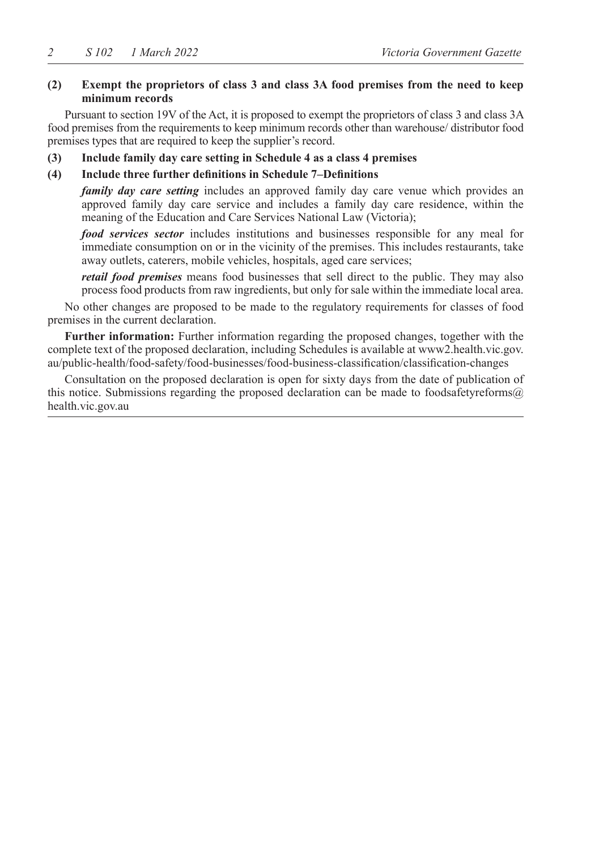#### **(2) Exempt the proprietors of class 3 and class 3A food premises from the need to keep minimum records**

Pursuant to section 19V of the Act, it is proposed to exempt the proprietors of class 3 and class 3A food premises from the requirements to keep minimum records other than warehouse/ distributor food premises types that are required to keep the supplier's record.

**(3) Include family day care setting in Schedule 4 as a class 4 premises**

#### **(4) Include three further definitions in Schedule 7–Definitions**

*family day care setting* includes an approved family day care venue which provides an approved family day care service and includes a family day care residence, within the meaning of the Education and Care Services National Law (Victoria);

*food services sector* includes institutions and businesses responsible for any meal for immediate consumption on or in the vicinity of the premises. This includes restaurants, take away outlets, caterers, mobile vehicles, hospitals, aged care services;

*retail food premises* means food businesses that sell direct to the public. They may also process food products from raw ingredients, but only for sale within the immediate local area.

No other changes are proposed to be made to the regulatory requirements for classes of food premises in the current declaration.

**Further information:** Further information regarding the proposed changes, together with the complete text of the proposed declaration, including Schedules is available at www2.health.vic.gov. au/public-health/food-safety/food-businesses/food-business-classification/classification-changes

Consultation on the proposed declaration is open for sixty days from the date of publication of this notice. Submissions regarding the proposed declaration can be made to foodsafetyreforms $\omega$ health.vic.gov.au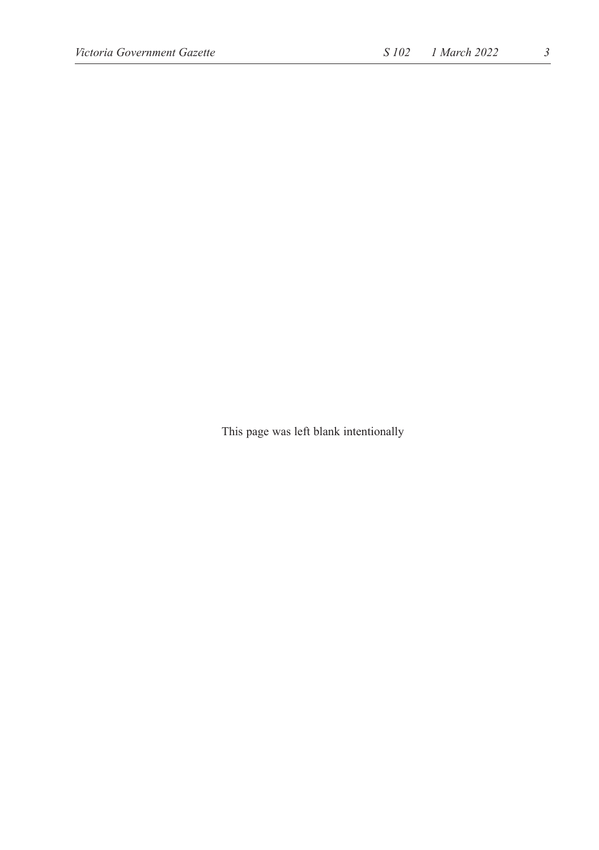This page was left blank intentionally